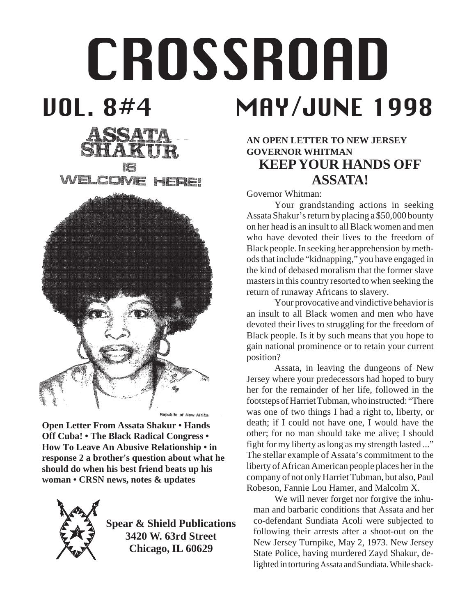# CROSSROAD **Vol. 8, #4 - 1 - May-June 1998 CROSSROAD** VOL. 8#4 MAY/JUNE 1998



Governor Whitman:

Your grandstanding actions in seeking Assata Shakur's return by placing a \$50,000 bounty on her head is an insult to all Black women and men who have devoted their lives to the freedom of Black people. In seeking her apprehension by methods that include "kidnapping," you have engaged in the kind of debased moralism that the former slave masters in this country resorted to when seeking the return of runaway Africans to slavery.

Your provocative and vindictive behavior is an insult to all Black women and men who have devoted their lives to struggling for the freedom of Black people. Is it by such means that you hope to gain national prominence or to retain your current position?

Assata, in leaving the dungeons of New Jersey where your predecessors had hoped to bury her for the remainder of her life, followed in the footsteps of Harriet Tubman, who instructed: "There was one of two things I had a right to, liberty, or death; if I could not have one, I would have the other; for no man should take me alive; I should fight for my liberty as long as my strength lasted ..." The stellar example of Assata's commitment to the liberty of African American people places her in the company of not only Harriet Tubman, but also, Paul Robeson, Fannie Lou Hamer, and Malcolm X.

**SSP 3420 W. 63rd Street Chicago IL 60629; Voice/FAX: 773-737-8679; crsn@aol.com** We will never forget nor forgive the inhuman and barbaric conditions that Assata and her co-defendant Sundiata Acoli were subjected to following their arrests after a shoot-out on the New Jersey Turnpike, May 2, 1973. New Jersey State Police, having murdered Zayd Shakur, delighted in torturing Assata and Sundiata. While shack-



Republic of New Afrika

**Open Letter From Assata Shakur • Hands Off Cuba! • The Black Radical Congress • How To Leave An Abusive Relationship • in response 2 a brother's question about what he should do when his best friend beats up his woman • CRSN news, notes & updates**



**Spear & Shield Publications 3420 W. 63rd Street Chicago, IL 60629**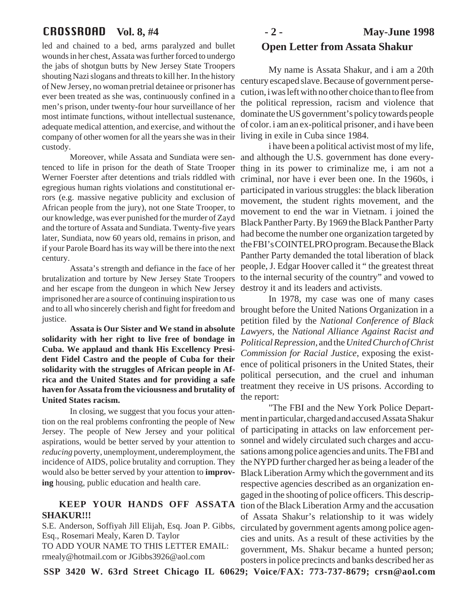led and chained to a bed, arms paralyzed and bullet wounds in her chest, Assata was further forced to undergo the jabs of shotgun butts by New Jersey State Troopers shouting Nazi slogans and threats to kill her. In the history of New Jersey, no woman pretrial detainee or prisoner has ever been treated as she was, continuously confined in a men's prison, under twenty-four hour surveillance of her most intimate functions, without intellectual sustenance, adequate medical attention, and exercise, and without the company of other women for all the years she was in their custody.

Moreover, while Assata and Sundiata were sentenced to life in prison for the death of State Trooper Werner Foerster after detentions and trials riddled with egregious human rights violations and constitutional errors (e.g. massive negative publicity and exclusion of African people from the jury), not one State Trooper, to our knowledge, was ever punished for the murder of Zayd and the torture of Assata and Sundiata. Twenty-five years later, Sundiata, now 60 years old, remains in prison, and if your Parole Board has its way will be there into the next century.

Assata's strength and defiance in the face of her brutalization and torture by New Jersey State Troopers and her escape from the dungeon in which New Jersey imprisoned her are a source of continuing inspiration to us and to all who sincerely cherish and fight for freedom and justice.

**Assata is Our Sister and We stand in absolute solidarity with her right to live free of bondage in Cuba. We applaud and thank His Excellency President Fidel Castro and the people of Cuba for their solidarity with the struggles of African people in Africa and the United States and for providing a safe haven for Assata from the viciousness and brutality of United States racism.**

In closing, we suggest that you focus your attention on the real problems confronting the people of New Jersey. The people of New Jersey and your political aspirations, would be better served by your attention to *reducing* poverty, unemployment, underemployment, the incidence of AIDS, police brutality and corruption. They would also be better served by your attention to **improving** housing, public education and health care.

### **KEEP YOUR HANDS OFF ASSATA SHAKUR!!!**

S.E. Anderson, Soffiyah Jill Elijah, Esq. Joan P. Gibbs, Esq., Rosemari Mealy, Karen D. Taylor TO ADD YOUR NAME TO THIS LETTER EMAIL: rmealy@hotmail.com or JGibbs3926@aol.com

# **CROSSROAD** Vol. 8, #4  $-2$  - May-June 1998 **Open Letter from Assata Shakur**

My name is Assata Shakur, and i am a 20th century escaped slave. Because of government persecution, i was left with no other choice than to flee from the political repression, racism and violence that dominate the US government's policy towards people of color. i am an ex-political prisoner, and i have been living in exile in Cuba since 1984.

i have been a political activist most of my life, and although the U.S. government has done everything in its power to criminalize me, i am not a criminal, nor have i ever been one. In the 1960s, i participated in various struggles: the black liberation movement, the student rights movement, and the movement to end the war in Vietnam. i joined the Black Panther Party. By 1969 the Black Panther Party had become the number one organization targeted by the FBI's COINTELPRO program. Because the Black Panther Party demanded the total liberation of black people, J. Edgar Hoover called it " the greatest threat to the internal security of the country" and vowed to destroy it and its leaders and activists.

In 1978, my case was one of many cases brought before the United Nations Organization in a petition filed by the *National Conference of Black Lawyers*, the *National Alliance Against Racist and Political Repression*, and the *United Church of Christ Commission for Racial Justice*, exposing the existence of political prisoners in the United States, their political persecution, and the cruel and inhuman treatment they receive in US prisons. According to the report:

"The FBI and the New York Police Department in particular, charged and accused Assata Shakur of participating in attacks on law enforcement personnel and widely circulated such charges and accusations among police agencies and units. The FBI and the NYPD further charged her as being a leader of the Black Liberation Army which the government and its respective agencies described as an organization engaged in the shooting of police officers. This description of the Black Liberation Army and the accusation of Assata Shakur's relationship to it was widely circulated by government agents among police agencies and units. As a result of these activities by the government, Ms. Shakur became a hunted person; posters in police precincts and banks described her as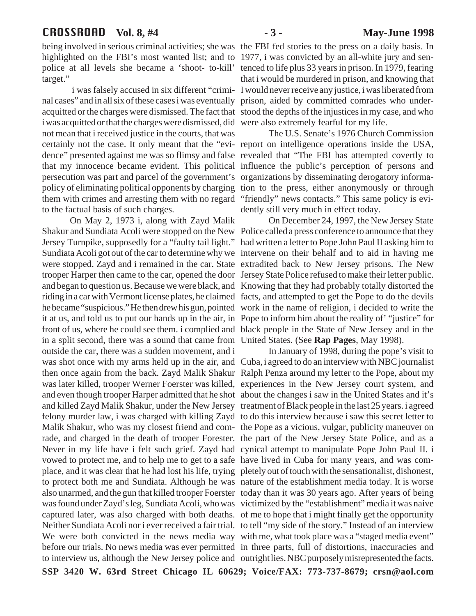### **CROSSROAD** Vol. 8, #4  $-3 - 3 - 1$  May-June 1998

highlighted on the FBI's most wanted list; and to 1977, i was convicted by an all-white jury and senpolice at all levels she became a 'shoot- to-kill' tenced to life plus 33 years in prison. In 1979, fearing target."

nal cases" and in all six of these cases i was eventually prison, aided by committed comrades who underacquitted or the charges were dismissed. The fact that stood the depths of the injustices in my case, and who i was acquitted or that the charges were dismissed, did were also extremely fearful for my life. not mean that i received justice in the courts, that was that my innocence became evident. This political influence the public's perception of persons and them with crimes and arresting them with no regard "friendly" news contacts." This same policy is evito the factual basis of such charges.

On May 2, 1973 i, along with Zayd Malik Shakur and Sundiata Acoli were stopped on the New Police called a press conference to announce that they Jersey Turnpike, supposedly for a "faulty tail light." had written a letter to Pope John Paul II asking him to Sundiata Acoli got out of the car to determine why we intervene on their behalf and to aid in having me were stopped. Zayd and i remained in the car. State extradited back to New Jersey prisons. The New trooper Harper then came to the car, opened the door Jersey State Police refused to make their letter public. and began to question us. Because we were black, and Knowing that they had probably totally distorted the riding in a car with Vermont license plates, he claimed facts, and attempted to get the Pope to do the devils he became "suspicious." He then drew his gun, pointed work in the name of religion, i decided to write the it at us, and told us to put our hands up in the air, in Pope to inform him about the reality of' "justice" for front of us, where he could see them. i complied and black people in the State of New Jersey and in the in a split second, there was a sound that came from United States. (See **Rap Pages**, May 1998). outside the car, there was a sudden movement, and i was shot once with my arms held up in the air, and Cuba, i agreed to do an interview with NBC journalist then once again from the back. Zayd Malik Shakur Ralph Penza around my letter to the Pope, about my was later killed, trooper Werner Foerster was killed, experiences in the New Jersey court system, and and even though trooper Harper admitted that he shot about the changes i saw in the United States and it's and killed Zayd Malik Shakur, under the New Jersey treatment of Black people in the last 25 years. i agreed felony murder law, i was charged with killing Zayd to do this interview because i saw this secret letter to Malik Shakur, who was my closest friend and com-the Pope as a vicious, vulgar, publicity maneuver on rade, and charged in the death of trooper Forester. the part of the New Jersey State Police, and as a Never in my life have i felt such grief. Zayd had cynical attempt to manipulate Pope John Paul II. i vowed to protect me, and to help me to get to a safe have lived in Cuba for many years, and was complace, and it was clear that he had lost his life, trying pletely out of touch with the sensationalist, dishonest, to protect both me and Sundiata. Although he was nature of the establishment media today. It is worse also unarmed, and the gun that killed trooper Foerster today than it was 30 years ago. After years of being was found under Zayd's leg, Sundiata Acoli, who was victimized by the "establishment" media it was naive captured later, was also charged with both deaths. of me to hope that i might finally get the opportunity Neither Sundiata Acoli nor i ever received a fair trial. to tell "my side of the story." Instead of an interview We were both convicted in the news media way with me, what took place was a "staged media event" before our trials. No news media was ever permitted in three parts, full of distortions, inaccuracies and to interview us, although the New Jersey police and outright lies. NBC purposely misrepresented the facts.

being involved in serious criminal activities; she was the FBI fed stories to the press on a daily basis. In i was falsely accused in six different "crimi-I would never receive any justice, i was liberated from that i would be murdered in prison, and knowing that

certainly not the case. It only meant that the "evi-report on intelligence operations inside the USA, dence" presented against me was so flimsy and false revealed that "The FBI has attempted covertly to persecution was part and parcel of the government's organizations by disseminating derogatory informapolicy of eliminating political opponents by charging tion to the press, either anonymously or through The U.S. Senate's 1976 Church Commission dently still very much in effect today.

On December 24, 1997, the New Jersey State

In January of 1998, during the pope's visit to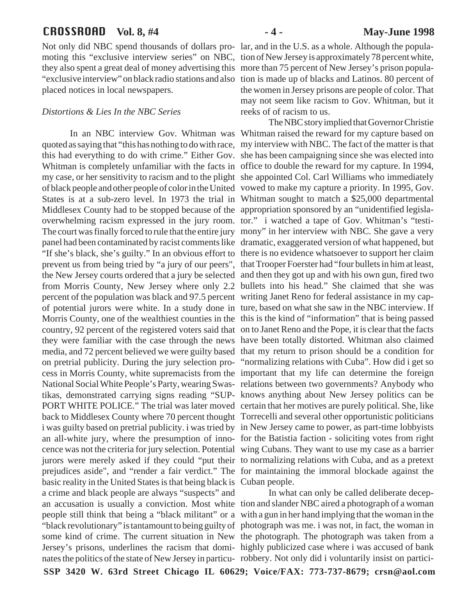### CROSSROAD **Vol. 8, #4 - 4 - May-June 1998**

# Not only did NBC spend thousands of dollars pro-lar, and in the U.S. as a whole. Although the populaplaced notices in local newspapers.

### *Distortions & Lies In the NBC Series*

quoted as saying that "this has nothing to do with race, my interview with NBC. The fact of the matter is that this had everything to do with crime." Either Gov. she has been campaigning since she was elected into Whitman is completely unfamiliar with the facts in office to double the reward for my capture. In 1994, my case, or her sensitivity to racism and to the plight she appointed Col. Carl Williams who immediately of black people and other people of color in the United vowed to make my capture a priority. In 1995, Gov. States is at a sub-zero level. In 1973 the trial in Whitman sought to match a \$25,000 departmental Middlesex County had to be stopped because of the appropriation sponsored by an "unidentified legislaoverwhelming racism expressed in the jury room. tor." i watched a tape of Gov. Whitman's "testi-The court was finally forced to rule that the entire jury mony" in her interview with NBC. She gave a very panel had been contaminated by racist comments like dramatic, exaggerated version of what happened, but "If she's black, she's guilty." In an obvious effort to there is no evidence whatsoever to support her claim prevent us from being tried by "a jury of our peers", that Trooper Foerster had "four bullets in him at least, the New Jersey courts ordered that a jury be selected and then they got up and with his own gun, fired two from Morris County, New Jersey where only 2.2 bullets into his head." She claimed that she was percent of the population was black and 97.5 percent writing Janet Reno for federal assistance in my capof potential jurors were white. In a study done in ture, based on what she saw in the NBC interview. If Morris County, one of the wealthiest counties in the this is the kind of "information" that is being passed country, 92 percent of the registered voters said that on to Janet Reno and the Pope, it is clear that the facts they were familiar with the case through the news have been totally distorted. Whitman also claimed media, and 72 percent believed we were guilty based that my return to prison should be a condition for on pretrial publicity. During the jury selection pro-"normalizing relations with Cuba". How did i get so cess in Morris County, white supremacists from the important that my life can determine the foreign National Social White People's Party, wearing Swas-relations between two governments? Anybody who tikas, demonstrated carrying signs reading "SUP-knows anything about New Jersey politics can be PORT WHITE POLICE." The trial was later moved certain that her motives are purely political. She, like back to Middlesex County where 70 percent thought Torrecelli and several other opportunistic politicians i was guilty based on pretrial publicity. i was tried by in New Jersey came to power, as part-time lobbyists an all-white jury, where the presumption of inno-for the Batistia faction - soliciting votes from right cence was not the criteria for jury selection. Potential wing Cubans. They want to use my case as a barrier jurors were merely asked if they could "put their to normalizing relations with Cuba, and as a pretext prejudices aside", and "render a fair verdict." The for maintaining the immoral blockade against the basic reality in the United States is that being black is Cuban people. a crime and black people are always "suspects" and an accusation is usually a conviction. Most white tion and slander NBC aired a photograph of a woman people still think that being a "black militant" or a with a gun in her hand implying that the woman in the "black revolutionary" is tantamount to being guilty of photograph was me. i was not, in fact, the woman in some kind of crime. The current situation in New the photograph. The photograph was taken from a Jersey's prisons, underlines the racism that domi-highly publicized case where i was accused of bank nates the politics of the state of New Jersey in particu-robbery. Not only did i voluntarily insist on partici-

moting this "exclusive interview series" on NBC, tion of New Jersey is approximately 78 percent white, they also spent a great deal of money advertising this more than 75 percent of New Jersey's prison popula-"exclusive interview" on black radio stations and also tion is made up of blacks and Latinos. 80 percent of the women in Jersey prisons are people of color. That may not seem like racism to Gov. Whitman, but it reeks of of racism to us.

In an NBC interview Gov. Whitman was Whitman raised the reward for my capture based on The NBC story implied that Governor Christie

In what can only be called deliberate decep-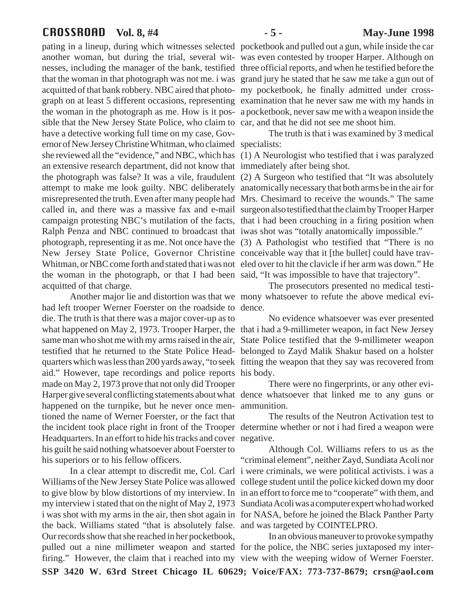### **CROSSROAD** Vol. 8, #4  $-5$ - May-June 1998

sible that the New Jersey State Police, who claim to car, and that he did not see me shoot him. have a detective working full time on my case, Governor of New Jersey Christine Whitman, who claimed specialists: she reviewed all the "evidence," and NBC, which has (1) A Neurologist who testified that i was paralyzed an extensive research department, did not know that immediately after being shot. the photograph was false? It was a vile, fraudulent (2) A Surgeon who testified that "It was absolutely attempt to make me look guilty. NBC deliberately anatomically necessary that both arms be in the air for misrepresented the truth. Even after many people had Mrs. Chesimard to receive the wounds." The same campaign protesting NBC's mutilation of the facts, that i had been crouching in a firing position when Ralph Penza and NBC continued to broadcast that iwas shot was "totally anatomically impossible." photograph, representing it as me. Not once have the (3) A Pathologist who testified that "There is no New Jersey State Police, Governor Christine conceivable way that it [the bullet] could have trav-Whitman, or NBC come forth and stated that i was not eled over to hit the clavicle if her arm was down." He the woman in the photograph, or that I had been said, "It was impossible to have that trajectory". acquitted of that charge.

had left trooper Werner Foerster on the roadside to dence. die. The truth is that there was a major cover-up as to what happened on May 2, 1973. Trooper Harper, the that i had a 9-millimeter weapon, in fact New Jersey same man who shot me with my arms raised in the air, State Police testified that the 9-millimeter weapon testified that he returned to the State Police Head-belonged to Zayd Malik Shakur based on a holster quarters which was less than 200 yards away, "to seek fitting the weapon that they say was recovered from aid." However, tape recordings and police reports his body. made on May 2, 1973 prove that not only did Trooper Harper give several conflicting statements about what dence whatsoever that linked me to any guns or happened on the turnpike, but he never once men-ammunition. tioned the name of Werner Foerster, or the fact that the incident took place right in front of the Trooper determine whether or not i had fired a weapon were Headquarters. In an effort to hide his tracks and cover negative. his guilt he said nothing whatsoever about Foerster to his superiors or to his fellow officers.

Williams of the New Jersey State Police was allowed college student until the police kicked down my door to give blow by blow distortions of my interview. In in an effort to force me to "cooperate" with them, and my interview i stated that on the night of May 2, 1973 Sundiata Acoli was a computer expert who had worked i was shot with my arms in the air, then shot again in for NASA, before he joined the Black Panther Party the back. Williams stated "that is absolutely false. and was targeted by COINTELPRO. Our records show that she reached in her pocketbook, pulled out a nine millimeter weapon and started for the police, the NBC series juxtaposed my interfiring." However, the claim that i reached into my view with the weeping widow of Werner Foerster.

pating in a lineup, during which witnesses selected pocketbook and pulled out a gun, while inside the car another woman, but during the trial, several wit-was even contested by trooper Harper. Although on nesses, including the manager of the bank, testified three official reports, and when he testified before the that the woman in that photograph was not me. i was grand jury he stated that he saw me take a gun out of acquitted of that bank robbery. NBC aired that photo-my pocketbook, he finally admitted under crossgraph on at least 5 different occasions, representing examination that he never saw me with my hands in the woman in the photograph as me. How is it pos-a pocketbook, never saw me with a weapon inside the

The truth is that i was examined by 3 medical

called in, and there was a massive fax and e-mail surgeon also testified that the claim by Trooper Harper

Another major lie and distortion was that we mony whatsoever to refute the above medical evi-The prosecutors presented no medical testi-

No evidence whatsoever was ever presented

There were no fingerprints, or any other evi-

The results of the Neutron Activation test to

In a clear attempt to discredit me, Col. Carl i were criminals, we were political activists. i was a Although Col. Williams refers to us as the "criminal element", neither Zayd, Sundiata Acoli nor

In an obvious maneuver to provoke sympathy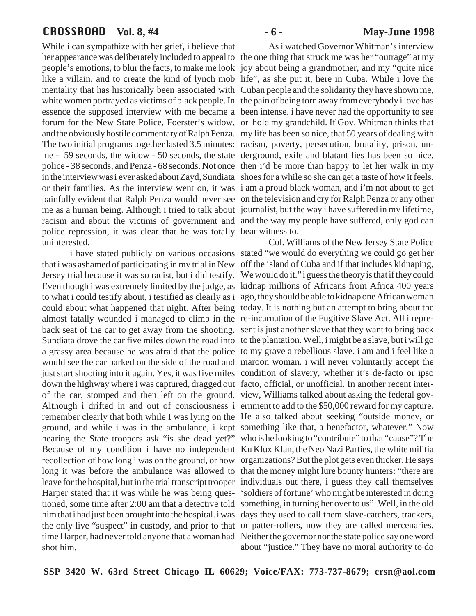# **CROSSROAD** Vol. 8, #4  $-6 -$  May-June 1998

her appearance was deliberately included to appeal to the one thing that struck me was her "outrage" at my people's emotions, to blur the facts, to make me look joy about being a grandmother, and my "quite nice like a villain, and to create the kind of lynch mob life", as she put it, here in Cuba. While i love the mentality that has historically been associated with Cuban people and the solidarity they have shown me, white women portrayed as victims of black people. In the pain of being torn away from everybody i love has essence the supposed interview with me became a been intense. i have never had the opportunity to see forum for the New State Police, Foerster's widow, or hold my grandchild. If Gov. Whitman thinks that and the obviously hostile commentary of Ralph Penza. my life has been so nice, that 50 years of dealing with The two initial programs together lasted 3.5 minutes: racism, poverty, persecution, brutality, prison, unme - 59 seconds, the widow - 50 seconds, the state derground, exile and blatant lies has been so nice, police - 38 seconds, and Penza - 68 seconds. Not once then i'd be more than happy to let her walk in my in the interview was i ever asked about Zayd, Sundiata shoes for a while so she can get a taste of how it feels. or their families. As the interview went on, it was i am a proud black woman, and i'm not about to get painfully evident that Ralph Penza would never see on the television and cry for Ralph Penza or any other me as a human being. Although i tried to talk about journalist, but the way i have suffered in my lifetime, racism and about the victims of government and and the way my people have suffered, only god can police repression, it was clear that he was totally bear witness to. While i can sympathize with her grief, i believe that uninterested.

that i was ashamed of participating in my trial in New off the island of Cuba and if that includes kidnaping, Jersey trial because it was so racist, but i did testify. We would do it." i guess the theory is that if they could Even though i was extremely limited by the judge, as kidnap millions of Africans from Africa 400 years to what i could testify about, i testified as clearly as i ago, they should be able to kidnap one African woman could about what happened that night. After being today. It is nothing but an attempt to bring about the almost fatally wounded i managed to climb in the re-incarnation of the Fugitive Slave Act. All i repreback seat of the car to get away from the shooting. sent is just another slave that they want to bring back Sundiata drove the car five miles down the road into to the plantation. Well, i might be a slave, but i will go a grassy area because he was afraid that the police to my grave a rebellious slave. i am and i feel like a would see the car parked on the side of the road and maroon woman. i will never voluntarily accept the just start shooting into it again. Yes, it was five miles condition of slavery, whether it's de-facto or ipso down the highway where i was captured, dragged out facto, official, or unofficial. In another recent interof the car, stomped and then left on the ground. view, Williams talked about asking the federal gov-Although i drifted in and out of consciousness i ernment to add to the \$50,000 reward for my capture. remember clearly that both while I was lying on the He also talked about seeking "outside money, or ground, and while i was in the ambulance, i kept something like that, a benefactor, whatever." Now hearing the State troopers ask "is she dead yet?" who is he looking to "contribute" to that "cause"? The Because of my condition i have no independent Ku Klux Klan, the Neo Nazi Parties, the white militia recollection of how long i was on the ground, or how organizations? But the plot gets even thicker. He says long it was before the ambulance was allowed to that the money might lure bounty hunters: "there are leave for the hospital, but in the trial transcript trooper individuals out there, i guess they call themselves Harper stated that it was while he was being ques- 'soldiers of fortune' who might be interested in doing tioned, some time after 2:00 am that a detective told something, in turning her over to us". Well, in the old him that i had just been brought into the hospital. i was days they used to call them slave-catchers, trackers, the only live "suspect" in custody, and prior to that or patter-rollers, now they are called mercenaries. time Harper, had never told anyone that a woman had Neither the governor nor the state police say one word shot him.

As i watched Governor Whitman's interview

Col. Williams of the New Jersey State Police i have stated publicly on various occasions stated "we would do everything we could go get her about "justice." They have no moral authority to do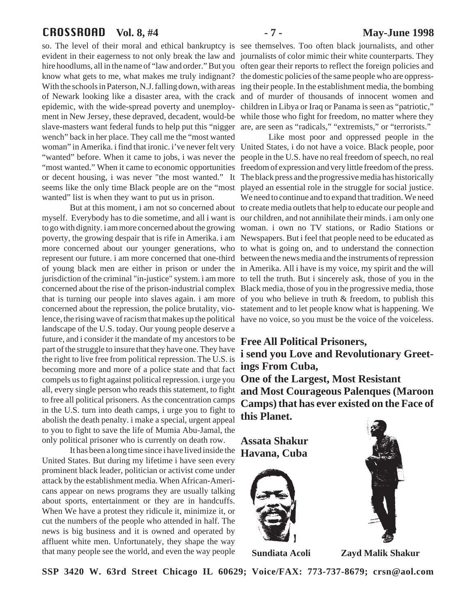### **CROSSROAD** Vol. 8, #4 - 7 - May-June 1998

slave-masters want federal funds to help put this "nigger are, are seen as "radicals," "extremists," or "terrorists." wench" back in her place. They call me the "most wanted wanted" list is when they want to put us in prison.

myself. Everybody has to die sometime, and all i want is our children, and not annihilate their minds. i am only one to go with dignity. i am more concerned about the growing woman. i own no TV stations, or Radio Stations or poverty, the growing despair that is rife in Amerika. i am Newspapers. But i feel that people need to be educated as more concerned about our younger generations, who to what is going on, and to understand the connection represent our future. i am more concerned that one-third between the news media and the instruments of repression of young black men are either in prison or under the in Amerika. All i have is my voice, my spirit and the will jurisdiction of the criminal "in-justice" system. i am more to tell the truth. But i sincerely ask, those of you in the concerned about the rise of the prison-industrial complex Black media, those of you in the progressive media, those that is turning our people into slaves again. i am more of you who believe in truth & freedom, to publish this concerned about the repression, the police brutality, vio-statement and to let people know what is happening. We lence, the rising wave of racism that makes up the political have no voice, so you must be the voice of the voiceless. landscape of the U.S. today. Our young people deserve a future, and i consider it the mandate of my ancestors to be part of the struggle to insure that they have one. They have the right to live free from political repression. The U.S. is becoming more and more of a police state and that fact compels us to fight against political repression. i urge you all, every single person who reads this statement, to fight to free all political prisoners. As the concentration camps in the U.S. turn into death camps, i urge you to fight to abolish the death penalty. i make a special, urgent appeal to you to fight to save the life of Mumia Abu-Jamal, the only political prisoner who is currently on death row.

It has been a long time since i have lived inside the United States. But during my lifetime i have seen every prominent black leader, politician or activist come under attack by the establishment media. When African-Americans appear on news programs they are usually talking about sports, entertainment or they are in handcuffs. When We have a protest they ridicule it, minimize it, or cut the numbers of the people who attended in half. The news is big business and it is owned and operated by affluent white men. Unfortunately, they shape the way that many people see the world, and even the way people

so. The level of their moral and ethical bankruptcy is see themselves. Too often black journalists, and other evident in their eagerness to not only break the law and journalists of color mimic their white counterparts. They hire hoodlums, all in the name of "law and order." But you often gear their reports to reflect the foreign policies and know what gets to me, what makes me truly indignant? the domestic policies of the same people who are oppress-With the schools in Paterson, N.J. falling down, with areas ing their people. In the establishment media, the bombing of Newark looking like a disaster area, with the crack and of murder of thousands of innocent women and epidemic, with the wide-spread poverty and unemploy-children in Libya or Iraq or Panama is seen as "patriotic," ment in New Jersey, these depraved, decadent, would-be while those who fight for freedom, no matter where they

woman" in Amerika. i find that ironic. i've never felt very United States, i do not have a voice. Black people, poor "wanted" before. When it came to jobs, i was never the people in the U.S. have no real freedom of speech, no real "most wanted." When it came to economic opportunities freedom of expression and very little freedom of the press. or decent housing, i was never "the most wanted." It The black press and the progressive media has historically seems like the only time Black people are on the "most played an essential role in the struggle for social justice. But at this moment, i am not so concerned about to create media outlets that help to educate our people and Like most poor and oppressed people in the We need to continue and to expand that tradition. We need

# **Free All Political Prisoners, i send you Love and Revolutionary Greetings From Cuba, One of the Largest, Most Resistant and Most Courageous Palenques (Maroon Camps) that has ever existed on the Face of this Planet.**

**Assata Shakur Havana, Cuba**





**Sundiata Acoli Zayd Malik Shakur**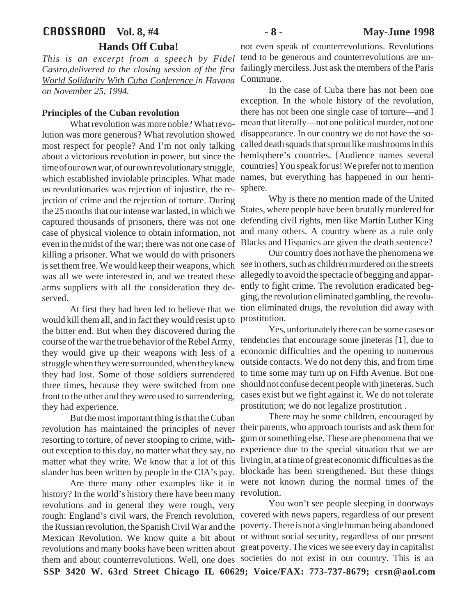# **CROSSROAD** Vol. 8, #4  $-8$  - May-June 1998 **Hands Off Cuba!**

*This is an excerpt from a speech by Fidel Castro,delivered to the closing session of the first World Solidarity With Cuba Conference in Havana on November 25, 1994.*

### **Principles of the Cuban revolution**

which established inviolable principles. What made names, but everything has happened in our hemithe 25 months that our intense war lasted, in which we States, where people have been brutally murdered for What revolution was more noble? What revolution was more generous? What revolution showed most respect for people? And I'm not only talking about a victorious revolution in power, but since the time of our own war, of our own revolutionary struggle, us revolutionaries was rejection of injustice, the rejection of crime and the rejection of torture. During captured thousands of prisoners, there was not one case of physical violence to obtain information, not even in the midst of the war; there was not one case of killing a prisoner. What we would do with prisoners is set them free. We would keep their weapons, which was all we were interested in, and we treated these arms suppliers with all the consideration they deserved.

course of the war the true behavior of the Rebel Army, tendencies that encourage some jineteras [1], due to would kill them all, and in fact they would resist up to the bitter end. But when they discovered during the they would give up their weapons with less of a struggle when they were surrounded, when they knew they had lost. Some of those soldiers surrendered three times, because they were switched from one front to the other and they were used to surrendering, they had experience.

But the most important thing is that the Cuban revolution has maintained the principles of never resorting to torture, of never stooping to crime, without exception to this day, no matter what they say, no matter what they write. We know that a lot of this slander has been written by people in the CIA's pay.

**SSP 3420 W. 63rd Street Chicago IL 60629; Voice/FAX: 773-737-8679; crsn@aol.com** history? In the world's history there have been many revolution. the Russian revolution, the Spanish Civil War and the poverty. There is not a single human being abandoned Mexican Revolution. We know quite a bit about or without social security, regardless of our present revolutions and many books have been written about great poverty. The vices we see every day in capitalist them and about counterrevolutions. Well, one does societies do not exist in our country. This is an Are there many other examples like it in revolutions and in general they were rough, very rough: England's civil wars, the French revolution,

not even speak of counterrevolutions. Revolutions tend to be generous and counterrevolutions are unfailingly merciless. Just ask the members of the Paris Commune.

In the case of Cuba there has not been one exception. In the whole history of the revolution, there has not been one single case of torture—and I mean that literally—not one political murder, not one disappearance. In our country we do not have the socalled death squads that sprout like mushrooms in this hemisphere's countries. [Audience names several countries] You speak for us! We prefer not to mention sphere.

Why is there no mention made of the United defending civil rights, men like Martin Luther King and many others. A country where as a rule only Blacks and Hispanics are given the death sentence?

Our country does not have the phenomena we see in others, such as children murdered on the streets allegedly to avoid the spectacle of begging and apparently to fight crime. The revolution eradicated begging, the revolution eliminated gambling, the revolu-At first they had been led to believe that we tion eliminated drugs, the revolution did away with prostitution.

> Yes, unfortunately there can be some cases or economic difficulties and the opening to numerous outside contacts. We do not deny this, and from time to time some may turn up on Fifth Avenue. But one should not confuse decent people with jineteras. Such cases exist but we fight against it. We do not tolerate prostitution; we do not legalize prostitution .

> There may be some children, encouraged by their parents, who approach tourists and ask them for gum or something else. These are phenomena that we experience due to the special situation that we are living in, at a time of great economic difficulties as the blockade has been strengthened. But these things were not known during the normal times of the

> You won't see people sleeping in doorways covered with news papers, regardless of our present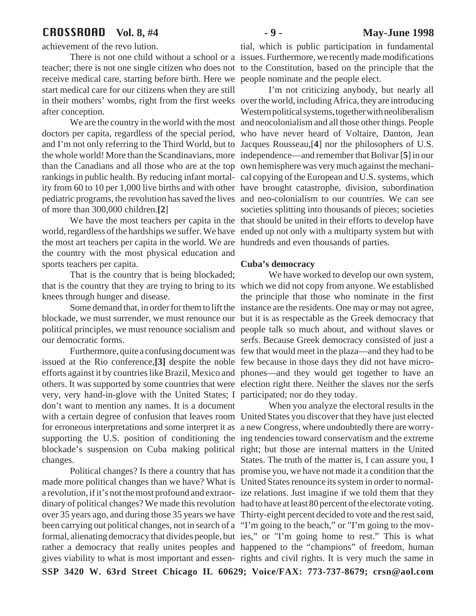# **CROSSROAD** Vol. 8, #4  $-9 -$  May-June 1998

achievement of the revo lution.

teacher; there is not one single citizen who does not to the Constitution, based on the principle that the receive medical care, starting before birth. Here we people nominate and the people elect. start medical care for our citizens when they are still in their mothers' wombs, right from the first weeks over the world, including Africa, they are introducing after conception.

of more than 300,000 children.**[2**]

world, regardless of the hardships we suffer. We have ended up not only with a multiparty system but with the most art teachers per capita in the world. We are hundreds and even thousands of parties. the country with the most physical education and sports teachers per capita.

That is the country that is being blockaded; knees through hunger and disease.

blockade, we must surrender, we must renounce our but it is as respectable as the Greek democracy that political principles, we must renounce socialism and people talk so much about, and without slaves or our democratic forms.

issued at the Rio conference,**[3]** despite the noble few because in those days they did not have microefforts against it by countries like Brazil, Mexico and phones—and they would get together to have an others. It was supported by some countries that were election right there. Neither the slaves nor the serfs very, very hand-in-glove with the United States; I participated; nor do they today. don't want to mention any names. It is a document with a certain degree of confusion that leaves room United States you discover that they have just elected for erroneous interpretations and some interpret it as a new Congress, where undoubtedly there are worrysupporting the U.S. position of conditioning the ing tendencies toward conservatism and the extreme blockade's suspension on Cuba making political right; but those are internal matters in the United changes.

**SSP 3420 W. 63rd Street Chicago IL 60629; Voice/FAX: 773-737-8679; crsn@aol.com** made more political changes than we have? What is United States renounce its system in order to normala revolution, if it's not the most profound and extraor-ize relations. Just imagine if we told them that they dinary of political changes? We made this revolution had to have at least 80 percent of the electorate voting. over 35 years ago, and during those 35 years we have Thirty-eight percent decided to vote and the rest said, been carrying out political changes, not in search of a "I'm going to the beach," or "I'm going to the movformal, alienating democracy that divides people, but ies," or "I'm going home to rest." This is what rather a democracy that really unites peoples and happened to the "champions" of freedom, human gives viability to what is most important and essen-rights and civil rights. It is very much the same in

There is not one child without a school or a issues. Furthermore, we recently made modifications tial, which is public participation in fundamental

We are the country in the world with the most and neocolonialism and all those other things. People doctors per capita, regardless of the special period, who have never heard of Voltaire, Danton, Jean and I'm not only referring to the Third World, but to Jacques Rousseau,[**4**] nor the philosophers of U.S. the whole world! More than the Scandinavians, more independence—and remember that Bolivar [**5**] in our than the Canadians and all those who are at the top own hemisphere was very much against the mechanirankings in public health. By reducing infant mortal-cal copying of the European and U.S. systems, which ity from 60 to 10 per 1,000 live births and with other have brought catastrophe, division, subordination pediatric programs, the revolution has saved the lives and neo-colonialism to our countries. We can see We have the most teachers per capita in the that should be united in their efforts to develop have I'm not criticizing anybody, but nearly all Western political systems, together with neoliberalism societies splitting into thousands of pieces; societies

### **Cuba's democracy**

that is the country that they are trying to bring to its which we did not copy from anyone. We established Some demand that, in order for them to lift the instance are the residents. One may or may not agree, Furthermore, quite a confusing document was few that would meet in the plaza—and they had to be We have worked to develop our own system, the principle that those who nominate in the first serfs. Because Greek democracy consisted of just a

Political changes? Is there a country that has promise you, we have not made it a condition that the When you analyze the electoral results in the States. The truth of the matter is, I can assure you, I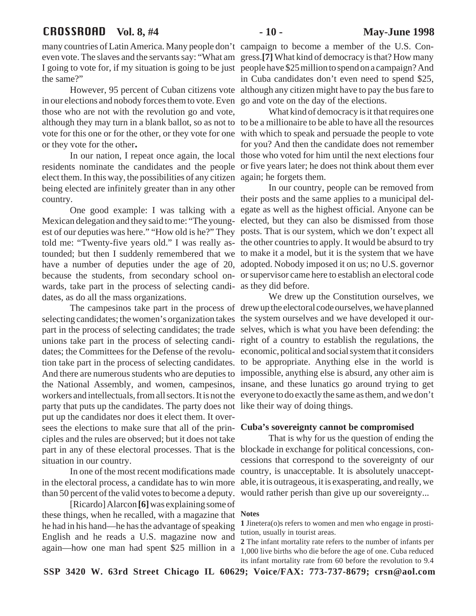# **CROSSROAD** Vol. 8, #4  $-10$  - May-June 1998

the same?"

in our elections and nobody forces them to vote. Even go and vote on the day of the elections. those who are not with the revolution go and vote, or they vote for the other**.**

residents nominate the candidates and the people or five years later; he does not think about them ever elect them. In this way, the possibilities of any citizen again; he forgets them. being elected are infinitely greater than in any other country.

Mexican delegation and they said to me: "The young-elected, but they can also be dismissed from those est of our deputies was here." "How old is he?" They posts. That is our system, which we don't expect all told me: "Twenty-five years old." I was really as-the other countries to apply. It would be absurd to try tounded; but then I suddenly remembered that we to make it a model, but it is the system that we have have a number of deputies under the age of 20, adopted. Nobody imposed it on us; no U.S. governor because the students, from secondary school on-or supervisor came here to establish an electoral code wards, take part in the process of selecting candi-as they did before. dates, as do all the mass organizations.

selecting candidates; the women's organization takes the system ourselves and we have developed it ourpart in the process of selecting candidates; the trade selves, which is what you have been defending: the unions take part in the process of selecting candi- right of a country to establish the regulations, the dates; the Committees for the Defense of the revolu-economic, political and social system that it considers tion take part in the process of selecting candidates. to be appropriate. Anything else in the world is And there are numerous students who are deputies to impossible, anything else is absurd, any other aim is the National Assembly, and women, campesinos, insane, and these lunatics go around trying to get workers and intellectuals, from all sectors. It is not the everyone to do exactly the same as them, and we don't party that puts up the candidates. The party does not like their way of doing things. put up the candidates nor does it elect them. It oversees the elections to make sure that all of the prin-**Cuba's sovereignty cannot be compromised** ciples and the rules are observed; but it does not take part in any of these electoral processes. That is the blockade in exchange for political concessions, consituation in our country.

in the electoral process, a candidate has to win more able, it is outrageous, it is exasperating, and really, we than 50 percent of the valid votes to become a deputy.

[Ricardo] Alarcon **[6]** was explaining some of these things, when he recalled, with a magazine that **Notes** he had in his hand—he has the advantage of speaking English and he reads a U.S. magazine now and again—how one man had spent \$25 million in a

many countries of Latin America. Many people don't campaign to become a member of the U.S. Coneven vote. The slaves and the servants say: "What am gress.**[7]** What kind of democracy is that? How many I going to vote for, if my situation is going to be just people have \$25 million to spend on a campaign? And However, 95 percent of Cuban citizens vote although any citizen might have to pay the bus fare to in Cuba candidates don't even need to spend \$25,

although they may turn in a blank ballot, so as not to to be a millionaire to be able to have all the resources vote for this one or for the other, or they vote for one with which to speak and persuade the people to vote In our nation, I repeat once again, the local those who voted for him until the next elections four What kind of democracy is it that requires one for you? And then the candidate does not remember

One good example: I was talking with a egate as well as the highest official. Anyone can be In our country, people can be removed from their posts and the same applies to a municipal del-

The campesinos take part in the process of drew up the electoral code ourselves, we have planned We drew up the Constitution ourselves, we

In one of the most recent modifications made country, is unacceptable. It is absolutely unaccept-That is why for us the question of ending the cessions that correspond to the sovereignty of our would rather perish than give up our sovereignty...

**1** Jinetera(o)s refers to women and men who engage in prostitution, usually in tourist areas.

**2** The infant mortality rate refers to the number of infants per 1,000 live births who die before the age of one. Cuba reduced its infant mortality rate from 60 before the revolution to 9.4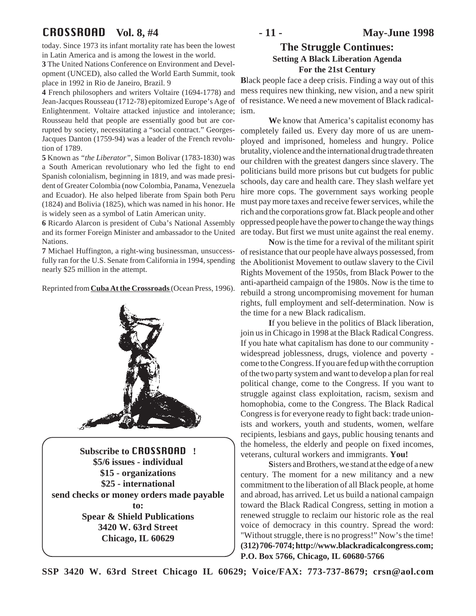# **CROSSROAD** Vol. 8, #4  $-11$  - May-June 1998

today. Since 1973 its infant mortality rate has been the lowest in Latin America and is among the lowest in the world.

**3** The United Nations Conference on Environment and Development (UNCED), also called the World Earth Summit, took place in 1992 in Rio de Janeiro, Brazil. 9

**4** French philosophers and writers Voltaire (1694-1778) and Jean-Jacques Rousseau (1712-78) epitomized Europe's Age of Enlightenment. Voltaire attacked injustice and intolerance; Rousseau held that people are essentially good but are corrupted by society, necessitating a "social contract." Georges-Jacques Danton (1759-94) was a leader of the French revolution of 1789.

**5** Known as *"the Liberator"*, Simon Bolivar (1783-1830) was a South American revolutionary who led the fight to end Spanish colonialism, beginning in 1819, and was made president of Greater Colombia (now Colombia, Panama, Venezuela and Ecuador). He also helped liberate from Spain both Peru (1824) and Bolivia (1825), which was named in his honor. He is widely seen as a symbol of Latin American unity.

**6** Ricardo Alarcon is president of Cuba's National Assembly and its former Foreign Minister and ambassador to the United Nations.

**7** Michael Huffington, a right-wing businessman, unsuccessfully ran for the U.S. Senate from California in 1994, spending nearly \$25 million in the attempt.

Reprinted from **Cuba At the Crossroads** (Ocean Press, 1996).



**Subscribe to** CROSSROAD **! \$5/6 issues - individual \$15 - organizations \$25 - international send checks or money orders made payable to: Spear & Shield Publications 3420 W. 63rd Street Chicago, IL 60629**

# **The Struggle Continues: Setting A Black Liberation Agenda For the 21st Century**

**B**lack people face a deep crisis. Finding a way out of this mess requires new thinking, new vision, and a new spirit of resistance. We need a new movement of Black radicalism.

**W**e know that America's capitalist economy has completely failed us. Every day more of us are unemployed and imprisoned, homeless and hungry. Police brutality, violence and the international drug trade threaten our children with the greatest dangers since slavery. The politicians build more prisons but cut budgets for public schools, day care and health care. They slash welfare yet hire more cops. The government says working people must pay more taxes and receive fewer services, while the rich and the corporations grow fat. Black people and other oppressed people have the power to change the way things are today. But first we must unite against the real enemy.

**N**ow is the time for a revival of the militant spirit of resistance that our people have always possessed, from the Abolitionist Movement to outlaw slavery to the Civil Rights Movement of the 1950s, from Black Power to the anti-apartheid campaign of the 1980s. Now is the time to rebuild a strong uncompromising movement for human rights, full employment and self-determination. Now is the time for a new Black radicalism.

**I**f you believe in the politics of Black liberation, join us in Chicago in 1998 at the Black Radical Congress. If you hate what capitalism has done to our community widespread joblessness, drugs, violence and poverty come to the Congress. If you are fed up with the corruption of the two party system and want to develop a plan for real political change, come to the Congress. If you want to struggle against class exploitation, racism, sexism and homophobia, come to the Congress. The Black Radical Congress is for everyone ready to fight back: trade unionists and workers, youth and students, women, welfare recipients, lesbians and gays, public housing tenants and the homeless, the elderly and people on fixed incomes, veterans, cultural workers and immigrants. **You!**

**S**isters and Brothers, we stand at the edge of a new century. The moment for a new militancy and a new commitment to the liberation of all Black people, at home and abroad, has arrived. Let us build a national campaign toward the Black Radical Congress, setting in motion a renewed struggle to reclaim our historic role as the real voice of democracy in this country. Spread the word: "Without struggle, there is no progress!" Now's the time! **(312) 706-7074; http://www.blackradicalcongress.com; P.O. Box 5766, Chicago, IL 60680-5766**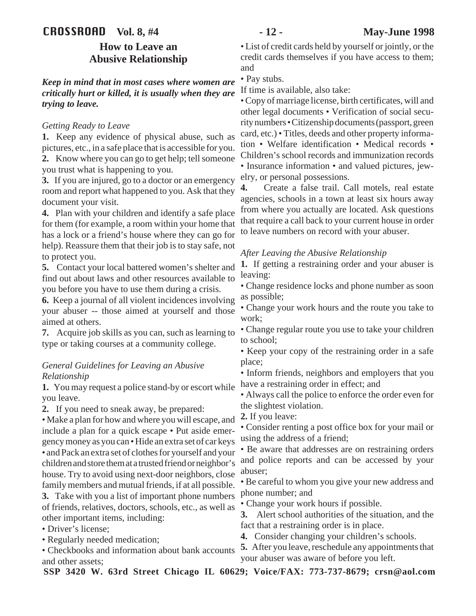# **CROSSROAD** Vol. 8, #4  $-12$  - May-June 1998 **How to Leave an Abusive Relationship**

### *Keep in mind that in most cases where women are critically hurt or killed, it is usually when they are trying to leave.*

### *Getting Ready to Leave*

**1.** Keep any evidence of physical abuse, such as pictures, etc., in a safe place that is accessible for you.

**2.** Know where you can go to get help; tell someone you trust what is happening to you.

**3.** If you are injured, go to a doctor or an emergency room and report what happened to you. Ask that they document your visit.

**4.** Plan with your children and identify a safe place for them (for example, a room within your home that has a lock or a friend's house where they can go for help). Reassure them that their job is to stay safe, not to protect you.

**5.** Contact your local battered women's shelter and find out about laws and other resources available to you before you have to use them during a crisis.

**6.** Keep a journal of all violent incidences involving your abuser -- those aimed at yourself and those aimed at others.

**7.** Acquire job skills as you can, such as learning to type or taking courses at a community college.

### *General Guidelines for Leaving an Abusive Relationship*

**1.** You may request a police stand-by or escort while you leave.

**2.** If you need to sneak away, be prepared:

• Make a plan for how and where you will escape, and include a plan for a quick escape • Put aside emergency money as you can • Hide an extra set of car keys • and Pack an extra set of clothes for yourself and your children and store them at a trusted friend or neighbor's house. Try to avoid using next-door neighbors, close family members and mutual friends, if at all possible.

**3.** Take with you a list of important phone numbers of friends, relatives, doctors, schools, etc., as well as other important items, including:

• Driver's license;

• Regularly needed medication;

• Checkbooks and information about bank accounts and other assets;

• List of credit cards held by yourself or jointly, or the credit cards themselves if you have access to them; and

• Pay stubs.

If time is available, also take:

• Copy of marriage license, birth certificates, will and other legal documents • Verification of social security numbers • Citizenship documents (passport, green card, etc.) • Titles, deeds and other property information • Welfare identification • Medical records • Children's school records and immunization records • Insurance information • and valued pictures, jewelry, or personal possessions.

**4.** Create a false trail. Call motels, real estate agencies, schools in a town at least six hours away from where you actually are located. Ask questions that require a call back to your current house in order to leave numbers on record with your abuser.

## *After Leaving the Abusive Relationship*

**1.** If getting a restraining order and your abuser is leaving:

• Change residence locks and phone number as soon as possible;

• Change your work hours and the route you take to work;

• Change regular route you use to take your children to school;

• Keep your copy of the restraining order in a safe place;

• Inform friends, neighbors and employers that you have a restraining order in effect; and

• Always call the police to enforce the order even for the slightest violation.

**2.** If you leave:

• Consider renting a post office box for your mail or using the address of a friend;

• Be aware that addresses are on restraining orders and police reports and can be accessed by your abuser;

• Be careful to whom you give your new address and phone number; and

• Change your work hours if possible.

**3.** Alert school authorities of the situation, and the fact that a restraining order is in place.

**4.** Consider changing your children's schools.

**5.** After you leave, reschedule any appointments that your abuser was aware of before you left.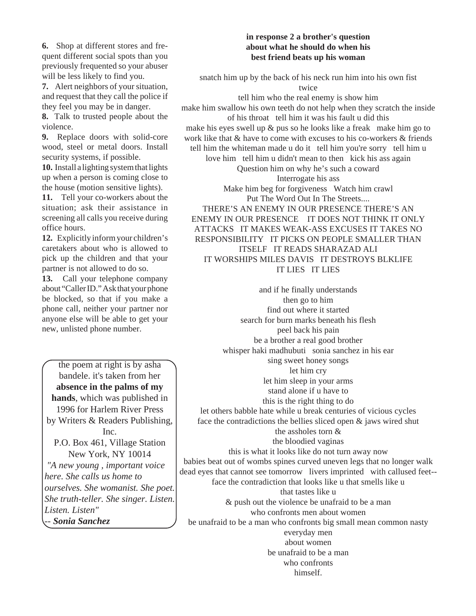**6.** Shop at different stores and frequent different social spots than you previously frequented so your abuser will be less likely to find you.

**7.** Alert neighbors of your situation, and request that they call the police if they feel you may be in danger.

**8.** Talk to trusted people about the violence.

**9.** Replace doors with solid-core wood, steel or metal doors. Install security systems, if possible.

**10.** Install a lighting system that lights up when a person is coming close to the house (motion sensitive lights).

**11.** Tell your co-workers about the situation; ask their assistance in screening all calls you receive during office hours.

**12.** Explicitly inform your children's caretakers about who is allowed to pick up the children and that your partner is not allowed to do so.

**13.** Call your telephone company about "Caller ID." Ask that your phone be blocked, so that if you make a phone call, neither your partner nor anyone else will be able to get your new, unlisted phone number.

the poem at right is by asha bandele. it's taken from her **absence in the palms of my hands**, which was published in 1996 for Harlem River Press by Writers & Readers Publishing, Inc. P.O. Box 461, Village Station New York, NY 10014  *"A new young , important voice here. She calls us home to ourselves. She womanist. She poet. She truth-teller. She singer. Listen. Listen. Listen" -- Sonia Sanchez*

## **in response 2 a brother's question about what he should do when his best friend beats up his woman**

snatch him up by the back of his neck run him into his own fist twice tell him who the real enemy is show him make him swallow his own teeth do not help when they scratch the inside of his throat tell him it was his fault u did this make his eyes swell up  $\&$  pus so he looks like a freak make him go to work like that & have to come with excuses to his co-workers & friends tell him the whiteman made u do it tell him you're sorry tell him u love him tell him u didn't mean to then kick his ass again Question him on why he's such a coward Interrogate his ass Make him beg for forgiveness Watch him crawl Put The Word Out In The Streets.... THERE'S AN ENEMY IN OUR PRESENCE THERE'S AN ENEMY IN OUR PRESENCE IT DOES NOT THINK IT ONLY ATTACKS IT MAKES WEAK-ASS EXCUSES IT TAKES NO RESPONSIBILITY IT PICKS ON PEOPLE SMALLER THAN ITSELF IT READS SHARAZAD ALI IT WORSHIPS MILES DAVIS IT DESTROYS BLKLIFE IT LIES IT LIES

 $himself.$ and if he finally understands then go to him find out where it started search for burn marks beneath his flesh peel back his pain be a brother a real good brother whisper haki madhubuti sonia sanchez in his ear sing sweet honey songs let him cry let him sleep in your arms stand alone if u have to this is the right thing to do let others babble hate while u break centuries of vicious cycles face the contradictions the bellies sliced open & jaws wired shut the assholes torn & the bloodied vaginas this is what it looks like do not turn away now babies beat out of wombs spines curved uneven legs that no longer walk dead eyes that cannot see tomorrow livers imprinted with callused feet- face the contradiction that looks like u that smells like u that tastes like u & push out the violence be unafraid to be a man who confronts men about women be unafraid to be a man who confronts big small mean common nasty everyday men about women be unafraid to be a man who confronts himself.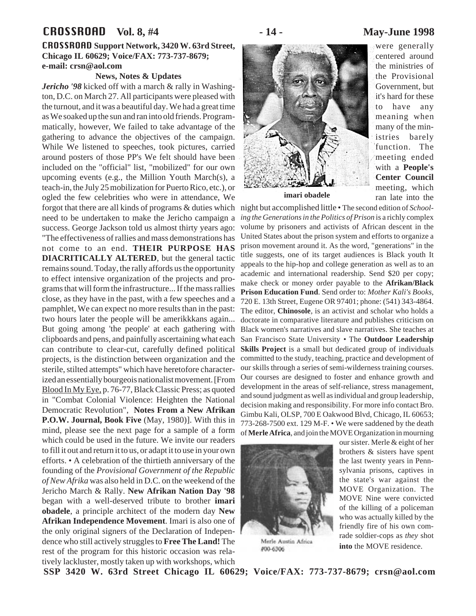# CROSSROAD **Vol. 8, #4 - 14 - May-June 1998**

### CROSSROAD **Support Network, 3420 W. 63rd Street, Chicago IL 60629; Voice/FAX: 773-737-8679; e-mail: crsn@aol.com**

### **News, Notes & Updates**

*Jericho '98* kicked off with a march & rally in Washington, D.C. on March 27. All participants were pleased with the turnout, and it was a beautiful day. We had a great time as We soaked up the sun and ran into old friends. Programmatically, however, We failed to take advantage of the gathering to advance the objectives of the campaign. While We listened to speeches, took pictures, carried around posters of those PP's We felt should have been included on the "official" list, "mobilized" for our own upcoming events (e.g., the Million Youth March(s), a teach-in, the July 25 mobilization for Puerto Rico, etc.), or ogled the few celebrities who were in attendance, We forgot that there are all kinds of programs & duties which night but accomplished little • The second edition of *School*need to be undertaken to make the Jericho campaign a success. George Jackson told us almost thirty years ago: "The effectiveness of rallies and mass demonstrations has not come to an end. **THEIR PURPOSE HAS DIACRITICALLY ALTERED**, but the general tactic remains sound. Today, the rally affords us the opportunity to effect intensive organization of the projects and programs that will form the infrastructure... If the mass rallies close, as they have in the past, with a few speeches and a pamphlet, We can expect no more results than in the past: two hours later the people will be amerikkkans again... But going among 'the people' at each gathering with clipboards and pens, and painfully ascertaining what each can contribute to clear-cut, carefully defined political projects, is the distinction between organization and the sterile, stilted attempts" which have heretofore characterized an essentially bourgeois nationalist movement. [From Blood In My Eye, p. 76-77, Black Classic Press; as quoted in "Combat Colonial Violence: Heighten the National Democratic Revolution", **Notes From a New Afrikan P.O.W. Journal, Book Five** (May, 1980)]. With this in mind, please see the next page for a sample of a form which could be used in the future. We invite our readers to fill it out and return it to us, or adapt it to use in your own efforts. • A celebration of the thirtieth anniversary of the founding of the *Provisional Government of the Republic of New Afrika* was also held in D.C. on the weekend of the Jericho March & Rally. **New Afrikan Nation Day '98** began with a well-deserved tribute to brother **imari obadele**, a principle architect of the modern day **New Afrikan Independence Movement**. Imari is also one of the only original signers of the Declaration of Independence who still actively struggles to **Free The Land!** The rest of the program for this historic occasion was relatively lackluster, mostly taken up with workshops, which



were generally centered around the ministries of the Provisional Government, but it's hard for these to have any meaning when many of the ministries barely function. The meeting ended with a **People's Center Council** meeting, which ran late into the

**imari obadele**

*ing the Generations in the Politics of Prison* is a richly complex volume by prisoners and activists of African descent in the United States about the prison system and efforts to organize a prison movement around it. As the word, "generations" in the title suggests, one of its target audiences is Black youth It appeals to the hip-hop and college generation as well as to an academic and international readership. Send \$20 per copy; make check or money order payable to the **Afrikan/Black Prison Education Fund**. Send order to: *Mother Kali's Books*, 720 E. 13th Street, Eugene OR 97401; phone: (541) 343-4864. The editor, **Chinosole**, is an activist and scholar who holds a doctorate in comparative literature and publishes criticism on Black women's narratives and slave narratives. She teaches at San Francisco State University • The **Outdoor Leadership Skills Project** is a small but dedicated group of individuals committed to the study, teaching, practice and development of our skills through a series of semi-wilderness training courses. Our courses are designed to foster and enhance growth and development in the areas of self-reliance, stress management, and sound judgment as well as individual and group leadership, decision making and responsibility. For more info contact Bro. Gimbu Kali, OLSP, 700 E Oakwood Blvd, Chicago, IL 60653; 773-268-7500 ext. 129 M-F. • We were saddened by the death of **Merle Africa**, and join the MOVE Organization in mourning



Merle Austin Africa #00-6306

our sister. Merle & eight of her brothers & sisters have spent the last twenty years in Pennsylvania prisons, captives in the state's war against the MOVE Organization. The MOVE Nine were convicted of the killing of a policeman who was actually killed by the friendly fire of his own comrade soldier-cops as *they* shot **into** the MOVE residence.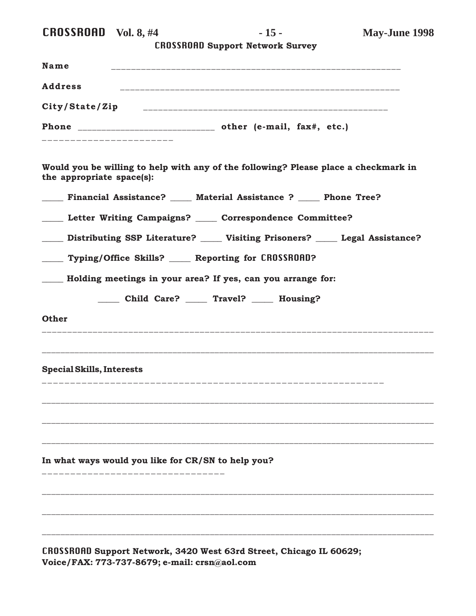| $CROSSROAD$ Vol. 8, #4                  |  | $-15-$ | <b>May-June 1998</b> |
|-----------------------------------------|--|--------|----------------------|
| <b>CROSSROAD Support Network Survey</b> |  |        |                      |

| Name                                                                                                             |  |
|------------------------------------------------------------------------------------------------------------------|--|
| <b>Address</b>                                                                                                   |  |
| City/State/Zip                                                                                                   |  |
|                                                                                                                  |  |
| Would you be willing to help with any of the following? Please place a checkmark in<br>the appropriate space(s): |  |
| ____ Financial Assistance? ____ Material Assistance ? ____ Phone Tree?                                           |  |
| Letter Writing Campaigns? _____ Correspondence Committee?                                                        |  |
| Distributing SSP Literature? ____ Visiting Prisoners? ____ Legal Assistance?                                     |  |
| Typing/Office Skills? ___ Reporting for CROSSROAD?                                                               |  |
| ____ Holding meetings in your area? If yes, can you arrange for:                                                 |  |
| Child Care? ____ Travel? ____ Housing?                                                                           |  |
| <b>Other</b>                                                                                                     |  |
| <b>Special Skills, Interests</b>                                                                                 |  |
|                                                                                                                  |  |
| In what ways would you like for CR/SN to help you?                                                               |  |
|                                                                                                                  |  |
| CROSSROAD Support Network, 3420 West 63rd Street, Chicago IL 60629;                                              |  |

**Voice/FAX: 773-737-8679; e-mail: crsn@aol.com**